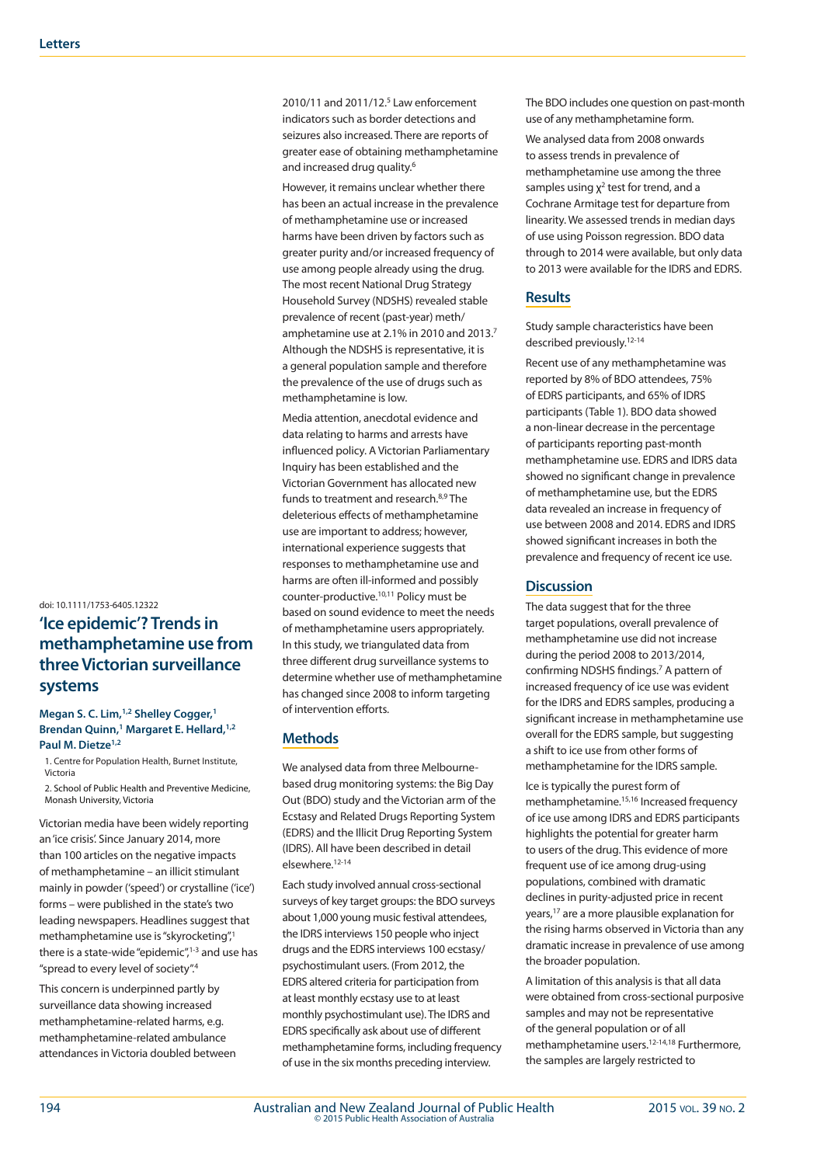doi: 10.1111/1753-6405.12322

# **'Ice epidemic'? Trends in methamphetamine use from three Victorian surveillance systems**

#### **Megan S. C. Lim,1,2 Shelley Cogger,1 Brendan Quinn,1 Margaret E. Hellard,1,2** Paul M. Dietze<sup>1,2</sup>

1. Centre for Population Health, Burnet Institute, Victoria

2. School of Public Health and Preventive Medicine, Monash University, Victoria

Victorian media have been widely reporting an 'ice crisis'. Since January 2014, more than 100 articles on the negative impacts of methamphetamine – an illicit stimulant mainly in powder ('speed') or crystalline ('ice') forms – were published in the state's two leading newspapers. Headlines suggest that methamphetamine use is "skyrocketing",1 there is a state-wide "epidemic", $1-3$  and use has "spread to every level of society".4

This concern is underpinned partly by surveillance data showing increased methamphetamine-related harms, e.g. methamphetamine-related ambulance attendances in Victoria doubled between

2010/11 and 2011/12.<sup>5</sup> Law enforcement indicators such as border detections and seizures also increased. There are reports of greater ease of obtaining methamphetamine and increased drug quality.<sup>6</sup>

However, it remains unclear whether there has been an actual increase in the prevalence of methamphetamine use or increased harms have been driven by factors such as greater purity and/or increased frequency of use among people already using the drug. The most recent National Drug Strategy Household Survey (NDSHS) revealed stable prevalence of recent (past-year) meth/ amphetamine use at 2.1% in 2010 and 2013.7 Although the NDSHS is representative, it is a general population sample and therefore the prevalence of the use of drugs such as methamphetamine is low.

Media attention, anecdotal evidence and data relating to harms and arrests have influenced policy. A Victorian Parliamentary Inquiry has been established and the Victorian Government has allocated new funds to treatment and research.8,9 The deleterious effects of methamphetamine use are important to address; however, international experience suggests that responses to methamphetamine use and harms are often ill-informed and possibly counter-productive.10,11 Policy must be based on sound evidence to meet the needs of methamphetamine users appropriately. In this study, we triangulated data from three different drug surveillance systems to determine whether use of methamphetamine has changed since 2008 to inform targeting of intervention efforts.

## **Methods**

We analysed data from three Melbournebased drug monitoring systems: the Big Day Out (BDO) study and the Victorian arm of the Ecstasy and Related Drugs Reporting System (EDRS) and the Illicit Drug Reporting System (IDRS). All have been described in detail elsewhere.12-14

Each study involved annual cross-sectional surveys of key target groups: the BDO surveys about 1,000 young music festival attendees, the IDRS interviews 150 people who inject drugs and the EDRS interviews 100 ecstasy/ psychostimulant users. (From 2012, the EDRS altered criteria for participation from at least monthly ecstasy use to at least monthly psychostimulant use). The IDRS and EDRS specifically ask about use of different methamphetamine forms, including frequency of use in the six months preceding interview.

The BDO includes one question on past-month use of any methamphetamine form.

We analysed data from 2008 onwards to assess trends in prevalence of methamphetamine use among the three samples using  $\chi^2$  test for trend, and a Cochrane Armitage test for departure from linearity. We assessed trends in median days of use using Poisson regression. BDO data through to 2014 were available, but only data to 2013 were available for the IDRS and EDRS.

## **Results**

Study sample characteristics have been described previously.12-14

Recent use of any methamphetamine was reported by 8% of BDO attendees, 75% of EDRS participants, and 65% of IDRS participants (Table 1). BDO data showed a non-linear decrease in the percentage of participants reporting past-month methamphetamine use. EDRS and IDRS data showed no significant change in prevalence of methamphetamine use, but the EDRS data revealed an increase in frequency of use between 2008 and 2014. EDRS and IDRS showed significant increases in both the prevalence and frequency of recent ice use.

## **Discussion**

The data suggest that for the three target populations, overall prevalence of methamphetamine use did not increase during the period 2008 to 2013/2014, confirming NDSHS findings.<sup>7</sup> A pattern of increased frequency of ice use was evident for the IDRS and EDRS samples, producing a significant increase in methamphetamine use overall for the EDRS sample, but suggesting a shift to ice use from other forms of methamphetamine for the IDRS sample.

Ice is typically the purest form of methamphetamine.15,16 Increased frequency of ice use among IDRS and EDRS participants highlights the potential for greater harm to users of the drug. This evidence of more frequent use of ice among drug-using populations, combined with dramatic declines in purity-adjusted price in recent years,17 are a more plausible explanation for the rising harms observed in Victoria than any dramatic increase in prevalence of use among the broader population.

A limitation of this analysis is that all data were obtained from cross-sectional purposive samples and may not be representative of the general population or of all methamphetamine users.12-14,18 Furthermore, the samples are largely restricted to